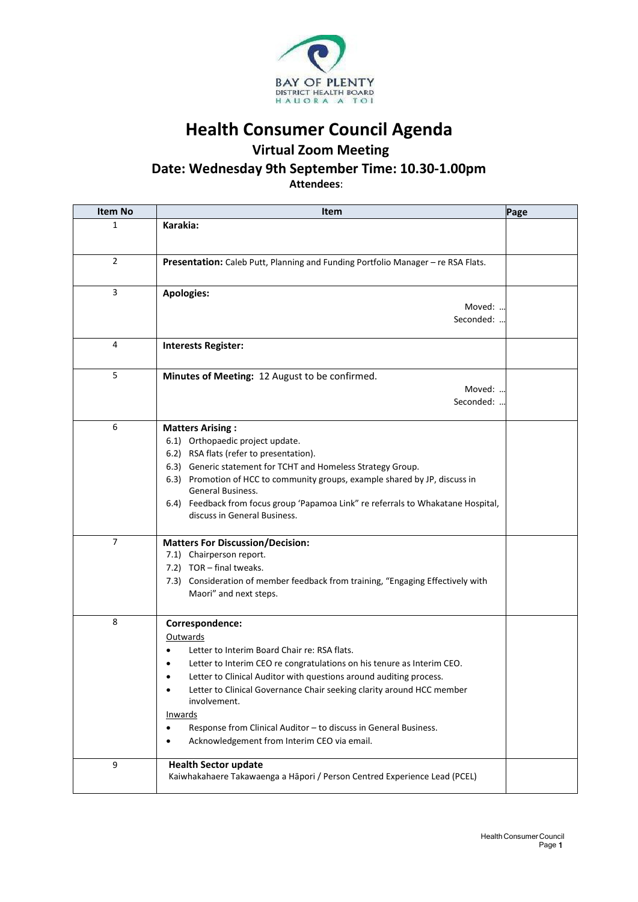

**Health Consumer Council Agenda**

## **Virtual Zoom Meeting**

## **Date: Wednesday 9th September Time: 10.30-1.00pm**

**Attendees**:

| <b>Item No</b> | <b>Item</b>                                                                                                                                                                                                                                                                                                                                                                                                                                                                               | Page |
|----------------|-------------------------------------------------------------------------------------------------------------------------------------------------------------------------------------------------------------------------------------------------------------------------------------------------------------------------------------------------------------------------------------------------------------------------------------------------------------------------------------------|------|
| 1              | Karakia:                                                                                                                                                                                                                                                                                                                                                                                                                                                                                  |      |
| $\overline{2}$ | Presentation: Caleb Putt, Planning and Funding Portfolio Manager - re RSA Flats.                                                                                                                                                                                                                                                                                                                                                                                                          |      |
| 3              | <b>Apologies:</b><br>Moved:<br>Seconded: .                                                                                                                                                                                                                                                                                                                                                                                                                                                |      |
| 4              | <b>Interests Register:</b>                                                                                                                                                                                                                                                                                                                                                                                                                                                                |      |
| 5              | Minutes of Meeting: 12 August to be confirmed.<br>Moved:<br>Seconded:                                                                                                                                                                                                                                                                                                                                                                                                                     |      |
| 6              | <b>Matters Arising:</b><br>6.1) Orthopaedic project update.<br>6.2) RSA flats (refer to presentation).<br>6.3) Generic statement for TCHT and Homeless Strategy Group.<br>6.3) Promotion of HCC to community groups, example shared by JP, discuss in<br>General Business.<br>6.4) Feedback from focus group 'Papamoa Link" re referrals to Whakatane Hospital,<br>discuss in General Business.                                                                                           |      |
| $\overline{7}$ | <b>Matters For Discussion/Decision:</b><br>7.1) Chairperson report.<br>7.2) TOR - final tweaks.<br>7.3) Consideration of member feedback from training, "Engaging Effectively with<br>Maori" and next steps.                                                                                                                                                                                                                                                                              |      |
| 8              | Correspondence:<br>Outwards<br>Letter to Interim Board Chair re: RSA flats.<br>Letter to Interim CEO re congratulations on his tenure as Interim CEO.<br>Letter to Clinical Auditor with questions around auditing process.<br>Letter to Clinical Governance Chair seeking clarity around HCC member<br>$\bullet$<br>involvement.<br>Inwards<br>Response from Clinical Auditor - to discuss in General Business.<br>$\bullet$<br>Acknowledgement from Interim CEO via email.<br>$\bullet$ |      |
| 9              | <b>Health Sector update</b><br>Kaiwhakahaere Takawaenga a Hāpori / Person Centred Experience Lead (PCEL)                                                                                                                                                                                                                                                                                                                                                                                  |      |